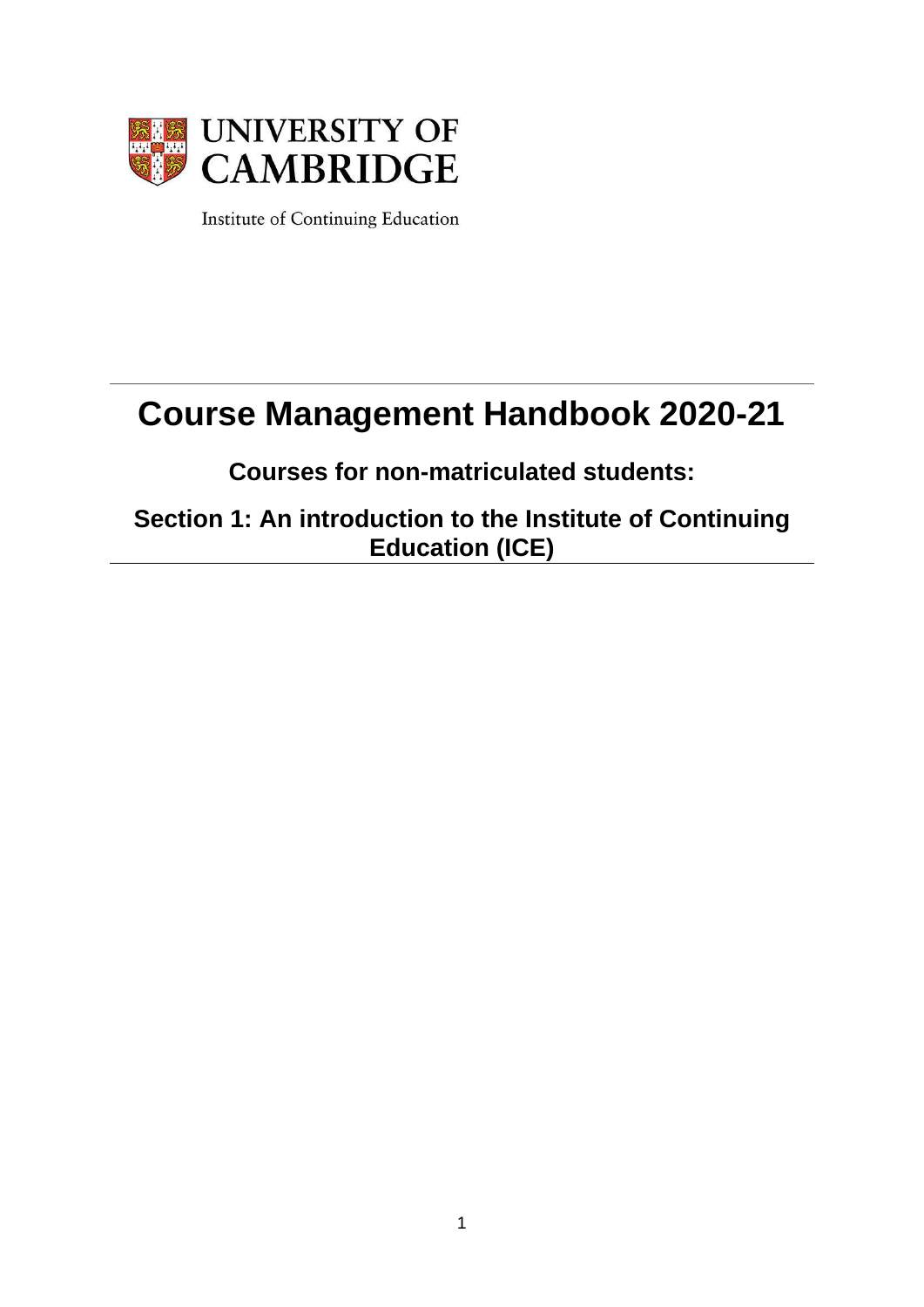

Institute of Continuing Education

# **Course Management Handbook 2020-21**

**Courses for non-matriculated students:** 

**Section 1: An introduction to the Institute of Continuing Education (ICE)**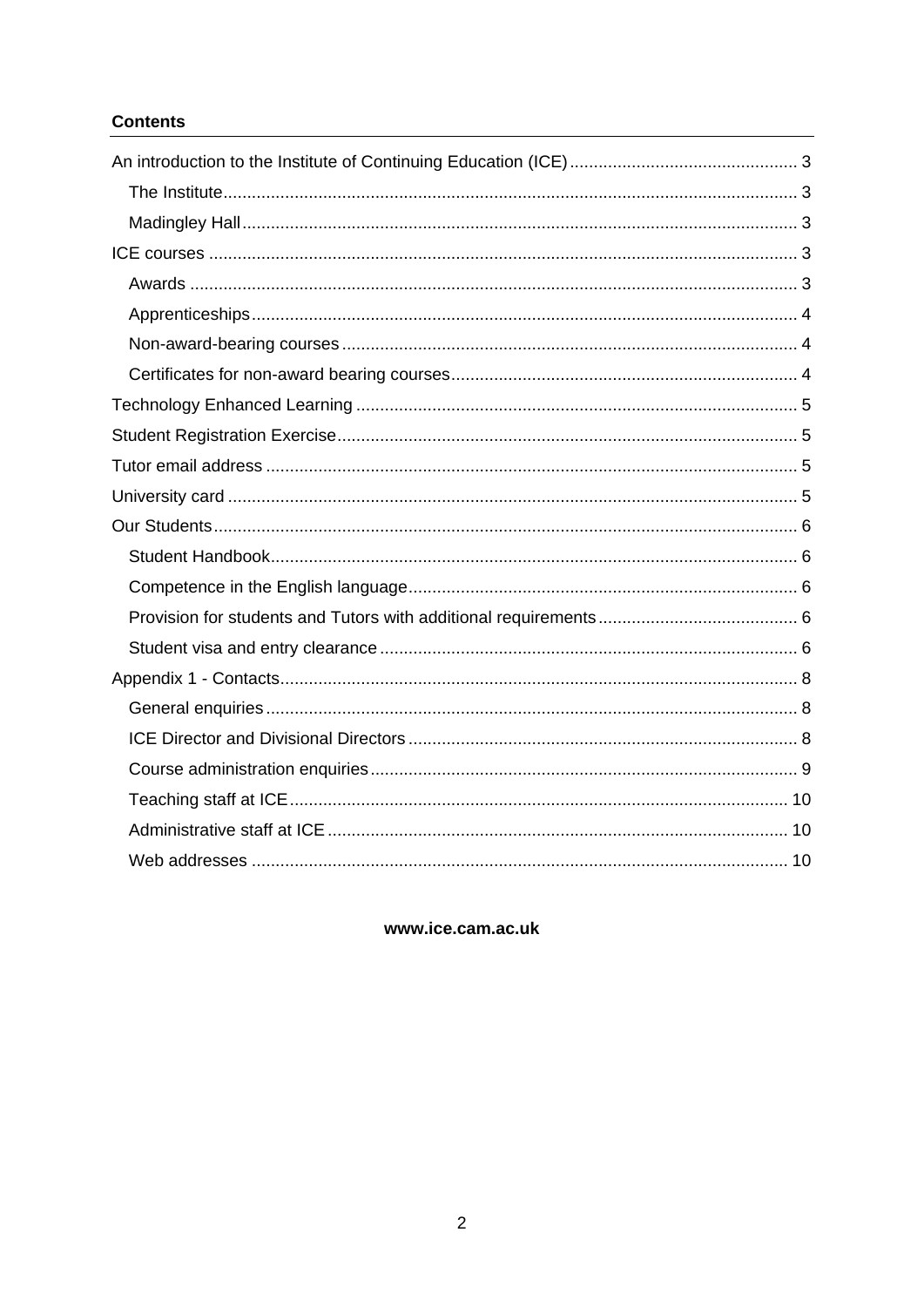## **Contents**

www.ice.cam.ac.uk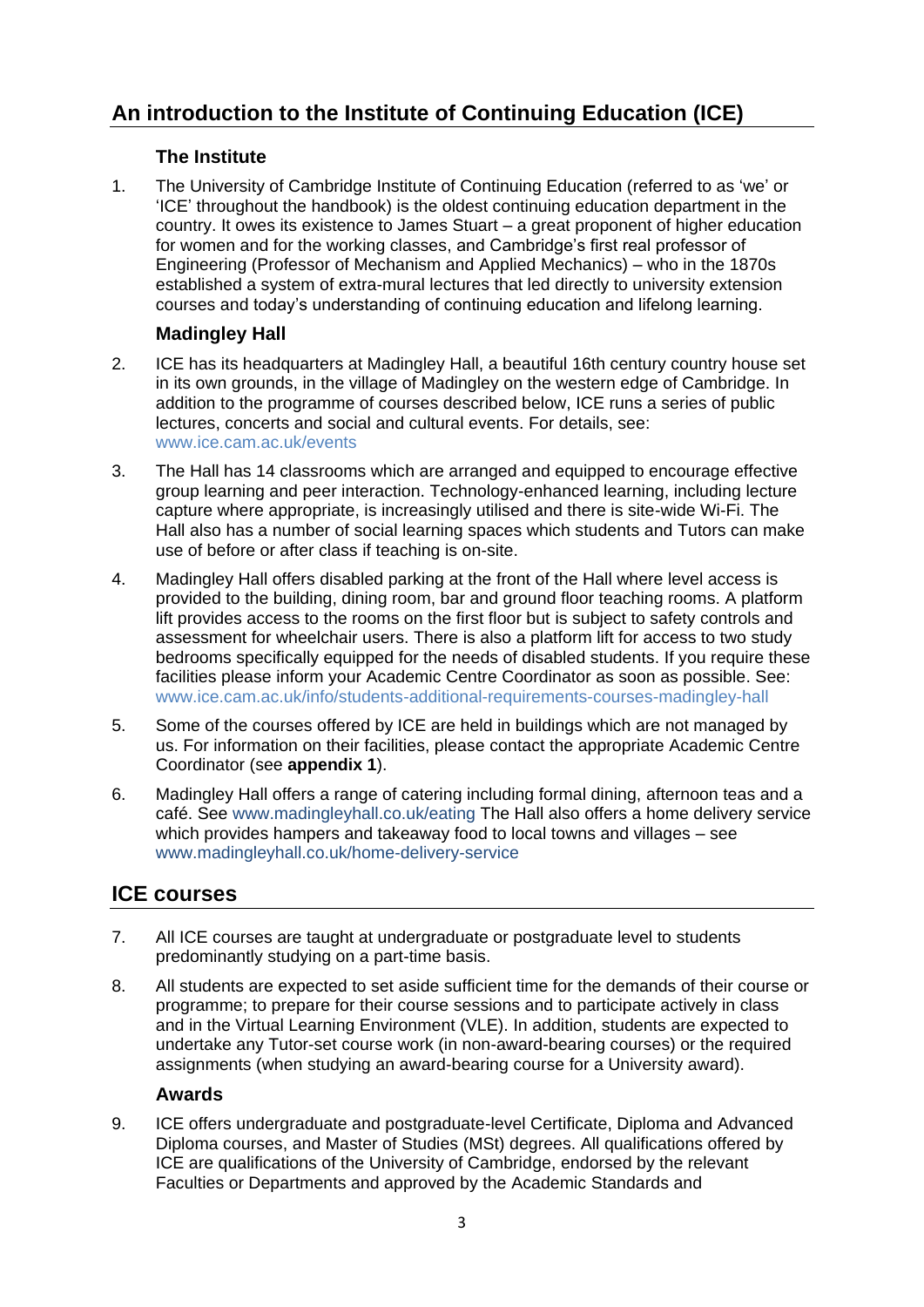# <span id="page-2-0"></span>**An introduction to the Institute of Continuing Education (ICE)**

# **The Institute**

<span id="page-2-1"></span>1. The University of Cambridge Institute of Continuing Education (referred to as 'we' or 'ICE' throughout the handbook) is the oldest continuing education department in the country. It owes its existence to James Stuart – a great proponent of higher education for women and for the working classes, and Cambridge's first real professor of Engineering (Professor of Mechanism and Applied Mechanics) – who in the 1870s established a system of extra-mural lectures that led directly to university extension courses and today's understanding of continuing education and lifelong learning.

# **Madingley Hall**

- <span id="page-2-2"></span>2. ICE has its headquarters at Madingley Hall, a beautiful 16th century country house set in its own grounds, in the village of Madingley on the western edge of Cambridge. In addition to the programme of courses described below, ICE runs a series of public lectures, concerts and social and cultural events. For details, see: [www.ice.cam.ac.uk/events](http://www.ice.cam.ac.uk/events)
- 3. The Hall has 14 classrooms which are arranged and equipped to encourage effective group learning and peer interaction. Technology-enhanced learning, including lecture capture where appropriate, is increasingly utilised and there is site-wide Wi-Fi. The Hall also has a number of social learning spaces which students and Tutors can make use of before or after class if teaching is on-site.
- 4. Madingley Hall offers disabled parking at the front of the Hall where level access is provided to the building, dining room, bar and ground floor teaching rooms. A platform lift provides access to the rooms on the first floor but is subject to safety controls and assessment for wheelchair users. There is also a platform lift for access to two study bedrooms specifically equipped for the needs of disabled students. If you require these facilities please inform your Academic Centre Coordinator as soon as possible. See: [www.ice.cam.ac.uk/info/students-additional-requirements-courses-madingley-hall](http://www.ice.cam.ac.uk/info/students-additional-requirements-courses-madingley-hall)
- 5. Some of the courses offered by ICE are held in buildings which are not managed by us. For information on their facilities, please contact the appropriate Academic Centre Coordinator (see **[appendix 1](#page-7-0)**).
- 6. Madingley Hall offers a range of catering including formal dining, afternoon teas and a café. See [www.madingleyhall.co.uk/eating](https://www.madingleyhall.co.uk/eating) The Hall also offers a home delivery service which provides hampers and takeaway food to local towns and villages – see [www.madingleyhall.co.uk/home-delivery-service](https://www.madingleyhall.co.uk/home-delivery-service)

# <span id="page-2-3"></span>**ICE courses**

- 7. All ICE courses are taught at undergraduate or postgraduate level to students predominantly studying on a part-time basis.
- 8. All students are expected to set aside sufficient time for the demands of their course or programme; to prepare for their course sessions and to participate actively in class and in the Virtual Learning Environment (VLE). In addition, students are expected to undertake any Tutor-set course work (in non-award-bearing courses) or the required assignments (when studying an award-bearing course for a University award).

## **Awards**

<span id="page-2-4"></span>9. ICE offers undergraduate and postgraduate-level Certificate, Diploma and Advanced Diploma courses, and Master of Studies (MSt) degrees. All qualifications offered by ICE are qualifications of the University of Cambridge, endorsed by the relevant Faculties or Departments and approved by the Academic Standards and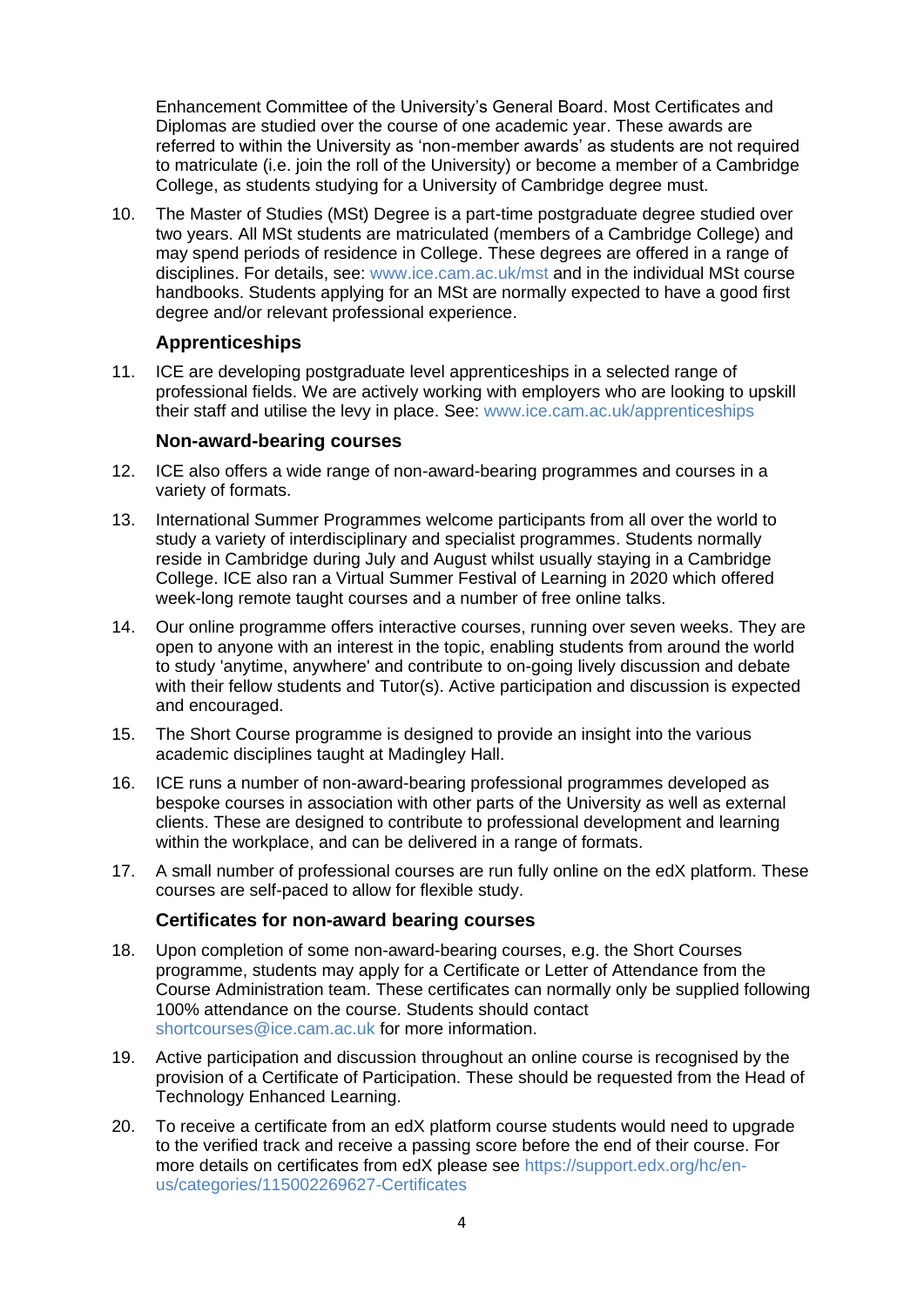Enhancement Committee of the University's General Board. Most Certificates and Diplomas are studied over the course of one academic year. These awards are referred to within the University as 'non-member awards' as students are not required to matriculate (i.e. ioin the roll of the University) or become a member of a Cambridge College, as students studying for a University of Cambridge degree must.

10. The Master of Studies (MSt) Degree is a part-time postgraduate degree studied over two years. All MSt students are matriculated (members of a Cambridge College) and may spend periods of residence in College. These degrees are offered in a range of disciplines. For details, see: [www.ice.cam.ac.uk/mst](http://www.ice.cam.ac.uk/mst) and in the individual MSt course handbooks. Students applying for an MSt are normally expected to have a good first degree and/or relevant professional experience.

#### **Apprenticeships**

<span id="page-3-0"></span>11. ICE are developing postgraduate level apprenticeships in a selected range of professional fields. We are actively working with employers who are looking to upskill their staff and utilise the levy in place. See: [www.ice.cam.ac.uk/apprenticeships](http://www.ice.cam.ac.uk/apprenticeships)

#### **Non-award-bearing courses**

- <span id="page-3-1"></span>12. ICE also offers a wide range of non-award-bearing programmes and courses in a variety of formats.
- 13. International Summer Programmes welcome participants from all over the world to study a variety of interdisciplinary and specialist programmes. Students normally reside in Cambridge during July and August whilst usually staying in a Cambridge College. ICE also ran a Virtual Summer Festival of Learning in 2020 which offered week-long remote taught courses and a number of free online talks.
- 14. Our online programme offers interactive courses, running over seven weeks. They are open to anyone with an interest in the topic, enabling students from around the world to study 'anytime, anywhere' and contribute to on-going lively discussion and debate with their fellow students and Tutor(s). Active participation and discussion is expected and encouraged.
- 15. The Short Course programme is designed to provide an insight into the various academic disciplines taught at Madingley Hall.
- 16. ICE runs a number of non-award-bearing professional programmes developed as bespoke courses in association with other parts of the University as well as external clients. These are designed to contribute to professional development and learning within the workplace, and can be delivered in a range of formats.
- 17. A small number of professional courses are run fully online on the edX platform. These courses are self-paced to allow for flexible study.

#### **Certificates for non-award bearing courses**

- <span id="page-3-2"></span>18. Upon completion of some non-award-bearing courses, e.g. the Short Courses programme, students may apply for a Certificate or Letter of Attendance from the Course Administration team. These certificates can normally only be supplied following 100% attendance on the course. Students should contact [shortcourses@ice.cam.ac.uk](mailto:shortcourses@ice.cam.a.cuk) for more information.
- 19. Active participation and discussion throughout an online course is recognised by the provision of a Certificate of Participation. These should be requested from the Head of Technology Enhanced Learning.
- 20. To receive a certificate from an edX platform course students would need to upgrade to the verified track and receive a passing score before the end of their course. For more details on certificates from edX please see [https://support.edx.org/hc/en](https://support.edx.org/hc/en-us/categories/115002269627-Certificates)[us/categories/115002269627-Certificates](https://support.edx.org/hc/en-us/categories/115002269627-Certificates)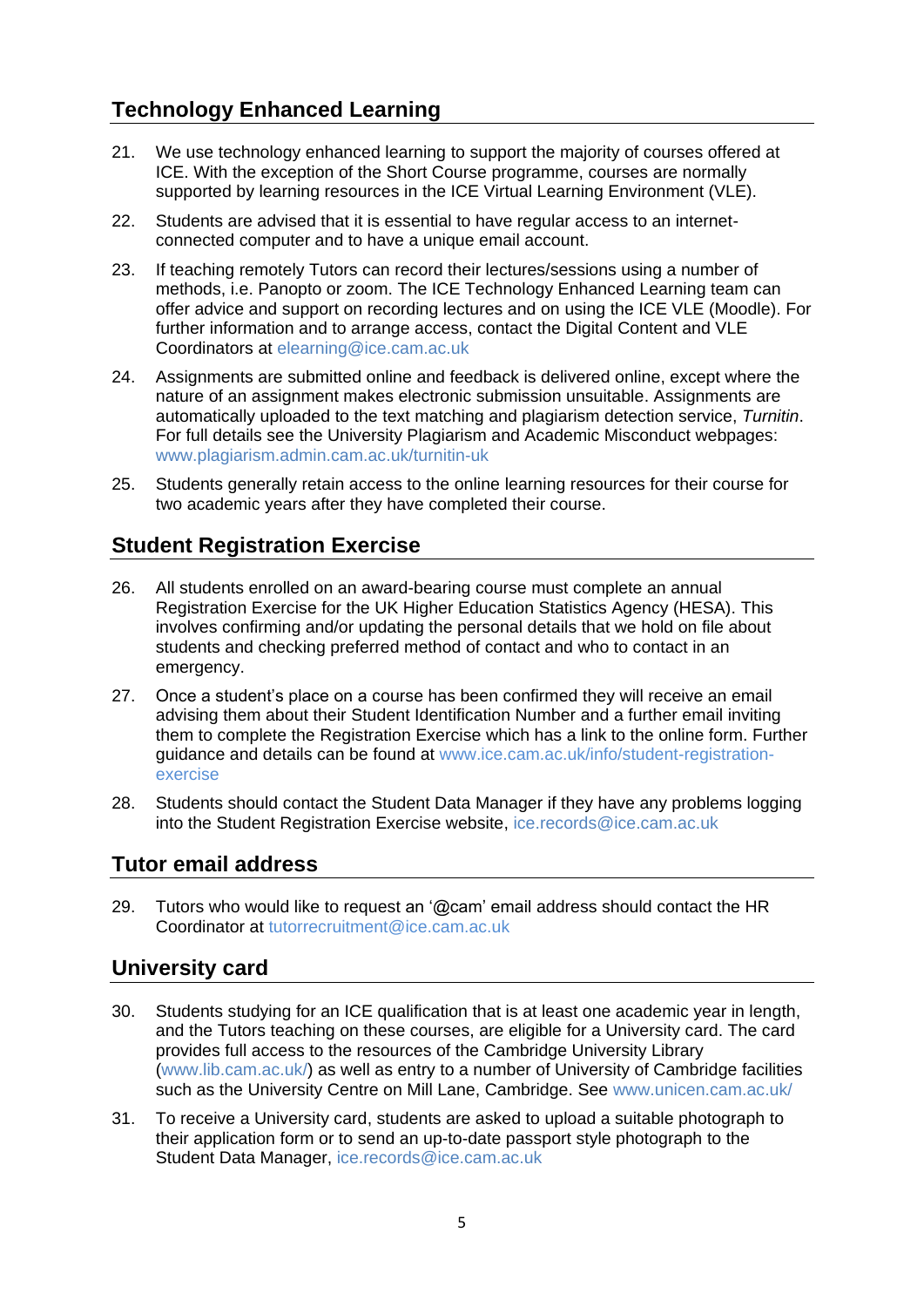# <span id="page-4-0"></span>**Technology Enhanced Learning**

- 21. We use technology enhanced learning to support the majority of courses offered at ICE. With the exception of the Short Course programme, courses are normally supported by learning resources in the ICE Virtual Learning Environment (VLE).
- 22. Students are advised that it is essential to have regular access to an internetconnected computer and to have a unique email account.
- 23. If teaching remotely Tutors can record their lectures/sessions using a number of methods, i.e. Panopto or zoom. The ICE Technology Enhanced Learning team can offer advice and support on recording lectures and on using the ICE VLE (Moodle). For further information and to arrange access, contact the Digital Content and VLE Coordinators at [elearning@ice.cam.ac.uk](mailto:elearning@ice.cam.ac.uk)
- 24. Assignments are submitted online and feedback is delivered online, except where the nature of an assignment makes electronic submission unsuitable. Assignments are automatically uploaded to the text matching and plagiarism detection service, *Turnitin*. For full details see the University Plagiarism and Academic Misconduct webpages: [www.plagiarism.admin.cam.ac.uk/turnitin-uk](https://www.plagiarism.admin.cam.ac.uk/turnitin-uk)
- 25. Students generally retain access to the online learning resources for their course for two academic years after they have completed their course.

# <span id="page-4-1"></span>**Student Registration Exercise**

- 26. All students enrolled on an award-bearing course must complete an annual Registration Exercise for the UK Higher Education Statistics Agency (HESA). This involves confirming and/or updating the personal details that we hold on file about students and checking preferred method of contact and who to contact in an emergency.
- 27. Once a student's place on a course has been confirmed they will receive an email advising them about their Student Identification Number and a further email inviting them to complete the Registration Exercise which has a link to the online form. Further guidance and details can be found at [www.ice.cam.ac.uk/info/student-registration](http://www.ice.cam.ac.uk/info/student-registration-exercise)[exercise](http://www.ice.cam.ac.uk/info/student-registration-exercise)
- 28. Students should contact the Student Data Manager if they have any problems logging into the Student Registration Exercise website, [ice.records@ice.cam.ac.uk](mailto:ice.records@ice.cam.ac.uk)

# <span id="page-4-2"></span>**Tutor email address**

29. Tutors who would like to request an '@cam' email address should contact the HR Coordinator at [tutorrecruitment@ice.cam.ac.uk](mailto:tutorrecruitment@ice.cam.ac.uk)

# <span id="page-4-3"></span>**University card**

- 30. Students studying for an ICE qualification that is at least one academic year in length, and the Tutors teaching on these courses, are eligible for a University card. The card provides full access to the resources of the Cambridge University Library [\(www.lib.cam.ac.uk/\)](http://www.lib.cam.ac.uk/) as well as entry to a number of University of Cambridge facilities such as the University Centre on Mill Lane, Cambridge. See [www.unicen.cam.ac.uk/](http://www.unicen.cam.ac.uk/)
- 31. To receive a University card, students are asked to upload a suitable photograph to their application form or to send an up-to-date passport style photograph to the Student Data Manager, [ice.records@ice.cam.ac.uk](mailto:ice.records@ice.cam.ac.uk)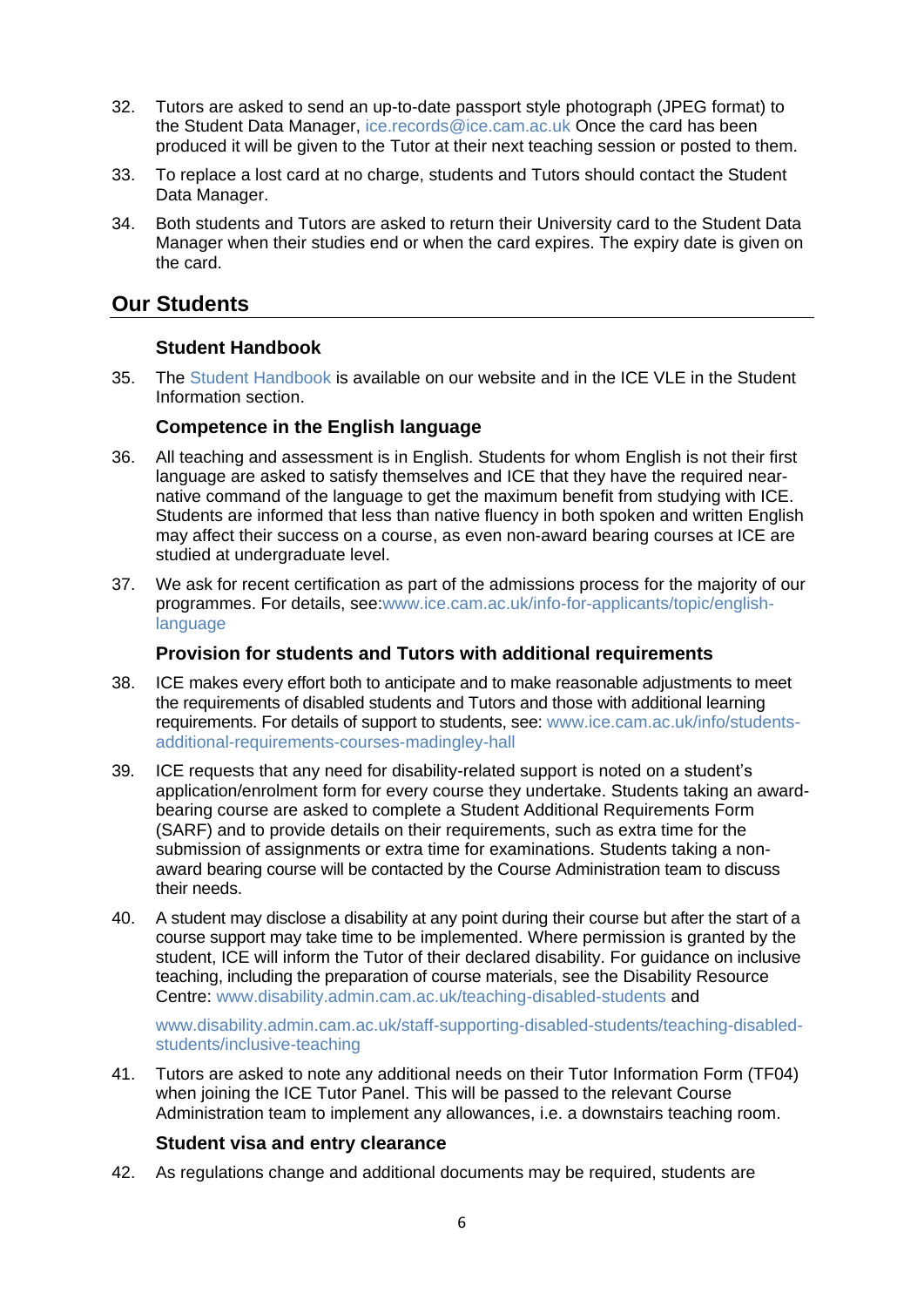- 32. Tutors are asked to send an up-to-date passport style photograph (JPEG format) to the Student Data Manager, [ice.records@ice.cam.ac.uk](mailto:ice.records@ice.cam.ac.uk) Once the card has been produced it will be given to the Tutor at their next teaching session or posted to them.
- 33. To replace a lost card at no charge, students and Tutors should contact the Student Data Manager.
- 34. Both students and Tutors are asked to return their University card to the Student Data Manager when their studies end or when the card expires. The expiry date is given on the card.

# <span id="page-5-0"></span>**Our Students**

## **Student Handbook**

<span id="page-5-1"></span>35. The [Student Handbook i](http://www.ice.cam.ac.uk/info/student-handbook)s available on our website and in the ICE VLE in the Student Information section.

## **Competence in the English language**

- <span id="page-5-2"></span>36. All teaching and assessment is in English. Students for whom English is not their first language are asked to satisfy themselves and ICE that they have the required nearnative command of the language to get the maximum benefit from studying with ICE. Students are informed that less than native fluency in both spoken and written English may affect their success on a course, as even non-award bearing courses at ICE are studied at undergraduate level.
- 37. We ask for recent certification as part of the admissions process for the majority of our programmes. For details, see[:www.ice.cam.ac.uk/info-for-applicants/topic/english](https://www.ice.cam.ac.uk/info-for-applicants/topic/english-language)[language](https://www.ice.cam.ac.uk/info-for-applicants/topic/english-language)

#### **Provision for students and Tutors with additional requirements**

- <span id="page-5-3"></span>38. ICE makes every effort both to anticipate and to make reasonable adjustments to meet the requirements of disabled students and Tutors and those with additional learning requirements. For details of support to students, see: [www.ice.cam.ac.uk/info/students](https://www.ice.cam.ac.uk/info/students-additional-requirements-courses-madingley-hall)[additional-requirements-courses-madingley-hall](https://www.ice.cam.ac.uk/info/students-additional-requirements-courses-madingley-hall)
- 39. ICE requests that any need for disability-related support is noted on a student's application/enrolment form for every course they undertake. Students taking an awardbearing course are asked to complete a Student Additional Requirements Form (SARF) and to provide details on their requirements, such as extra time for the submission of assignments or extra time for examinations. Students taking a nonaward bearing course will be contacted by the Course Administration team to discuss their needs.
- 40. A student may disclose a disability at any point during their course but after the start of a course support may take time to be implemented. Where permission is granted by the student, ICE will inform the Tutor of their declared disability. For guidance on inclusive teaching, including the preparation of course materials, see the Disability Resource Centre: [www.disability.admin.cam.ac.uk/teaching-disabled-students](https://www.disability.admin.cam.ac.uk/teaching-disabled-students) and

[www.disability.admin.cam.ac.uk/staff-supporting-disabled-students/teaching-disabled](http://www.disability.admin.cam.ac.uk/staff-supporting-disabled-students/teaching-disabled-students/inclusive-teaching)[students/inclusive-teaching](http://www.disability.admin.cam.ac.uk/staff-supporting-disabled-students/teaching-disabled-students/inclusive-teaching)

41. Tutors are asked to note any additional needs on their Tutor Information Form (TF04) when joining the ICE Tutor Panel. This will be passed to the relevant Course Administration team to implement any allowances, i.e. a downstairs teaching room.

## **Student visa and entry clearance**

<span id="page-5-4"></span>42. As regulations change and additional documents may be required, students are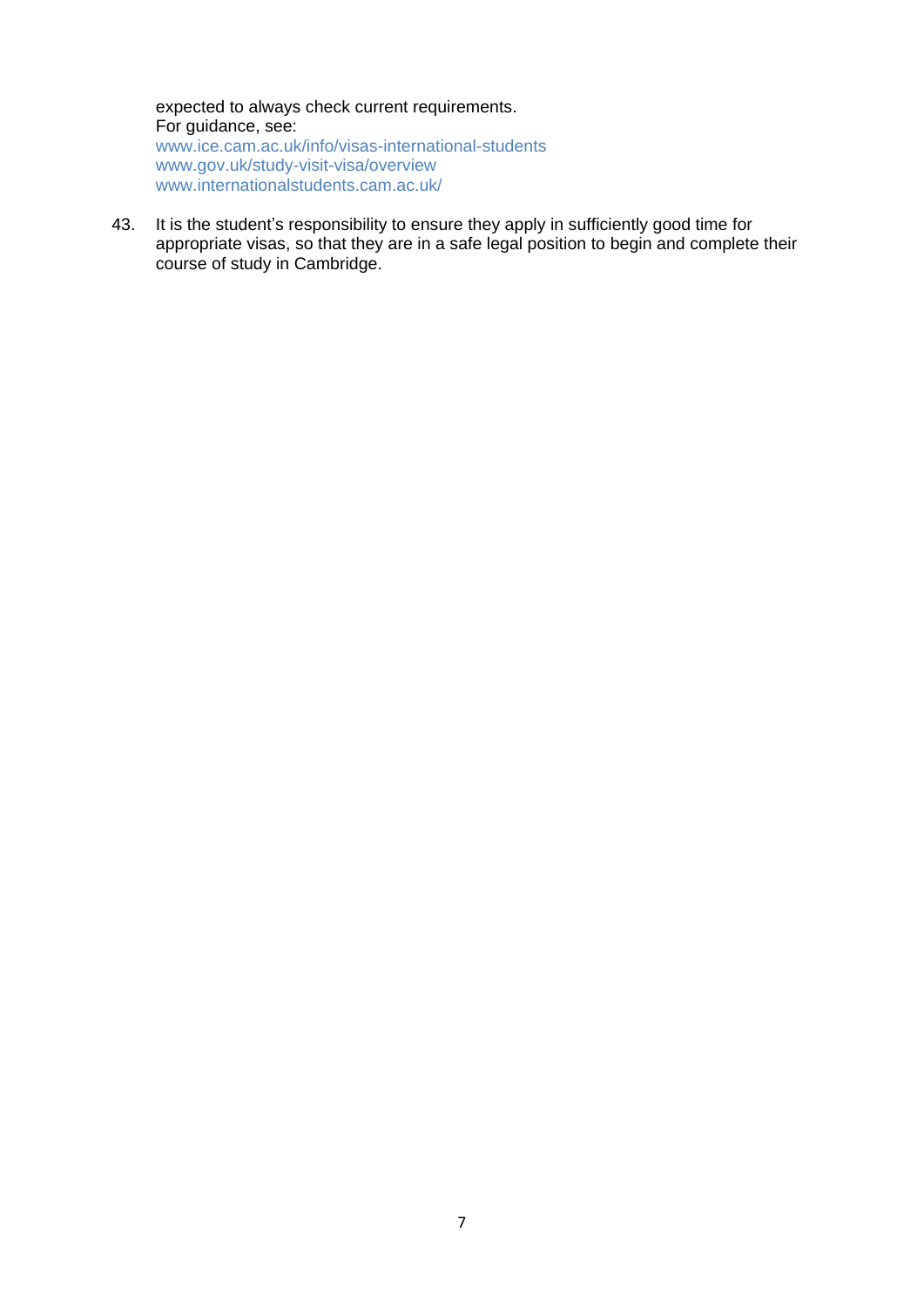expected to always check current requirements. For guidance, see: [www.ice.cam.ac.uk/info/visas-international-students](http://www.ice.cam.ac.uk/info/visas-international-students) [www.gov.uk/study-visit-visa/overview](https://www.gov.uk/study-visit-visa/overview) [www.internationalstudents.cam.ac.uk/](https://www.internationalstudents.cam.ac.uk/)

43. It is the student's responsibility to ensure they apply in sufficiently good time for appropriate visas, so that they are in a safe legal position to begin and complete their course of study in Cambridge.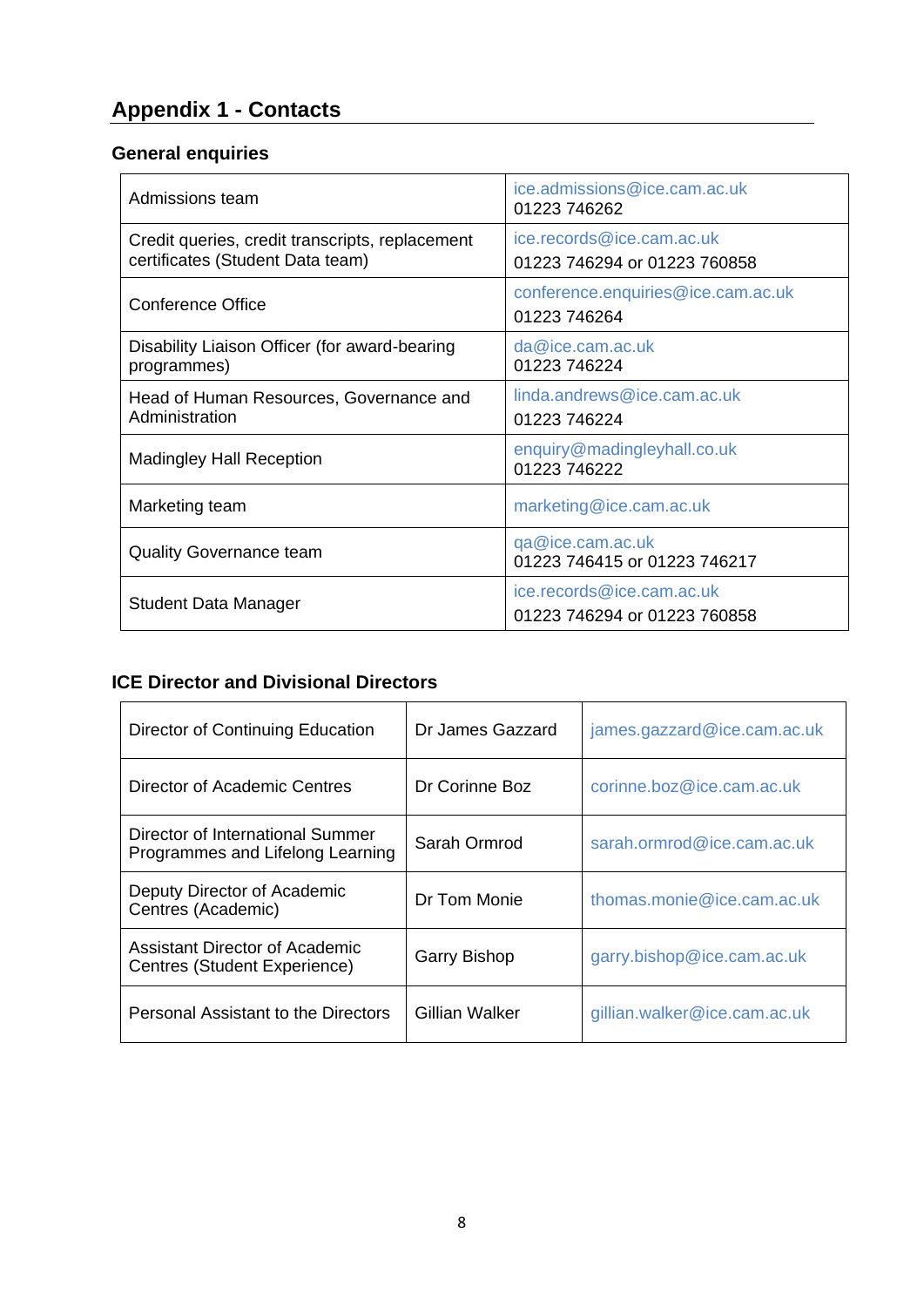# <span id="page-7-0"></span>**Appendix 1 - Contacts**

# <span id="page-7-1"></span>**General enquiries**

| Admissions team                                                                     | ice.admissions@ice.cam.ac.uk<br>01223 746262              |
|-------------------------------------------------------------------------------------|-----------------------------------------------------------|
| Credit queries, credit transcripts, replacement<br>certificates (Student Data team) | ice.records@ice.cam.ac.uk<br>01223 746294 or 01223 760858 |
| <b>Conference Office</b>                                                            | conference.enquiries@ice.cam.ac.uk<br>01223 746264        |
| Disability Liaison Officer (for award-bearing<br>programmes)                        | da@ice.cam.ac.uk<br>01223 746224                          |
| Head of Human Resources, Governance and<br>Administration                           | linda.andrews@ice.cam.ac.uk<br>01223 746224               |
| <b>Madingley Hall Reception</b>                                                     | enquiry@madingleyhall.co.uk<br>01223 746222               |
| Marketing team                                                                      | marketing@ice.cam.ac.uk                                   |
| <b>Quality Governance team</b>                                                      | qa@ice.cam.ac.uk<br>01223 746415 or 01223 746217          |
| <b>Student Data Manager</b>                                                         | ice.records@ice.cam.ac.uk<br>01223 746294 or 01223 760858 |

# <span id="page-7-2"></span>**ICE Director and Divisional Directors**

| Director of Continuing Education                                     | Dr James Gazzard    | james.gazzard@ice.cam.ac.uk  |
|----------------------------------------------------------------------|---------------------|------------------------------|
| Director of Academic Centres                                         | Dr Corinne Boz      | corinne.boz@ice.cam.ac.uk    |
| Director of International Summer<br>Programmes and Lifelong Learning | Sarah Ormrod        | sarah.ormrod@ice.cam.ac.uk   |
| Deputy Director of Academic<br>Centres (Academic)                    | Dr Tom Monie        | thomas.monie@ice.cam.ac.uk   |
| Assistant Director of Academic<br>Centres (Student Experience)       | <b>Garry Bishop</b> | garry.bishop@ice.cam.ac.uk   |
| Personal Assistant to the Directors                                  | Gillian Walker      | gillian.walker@ice.cam.ac.uk |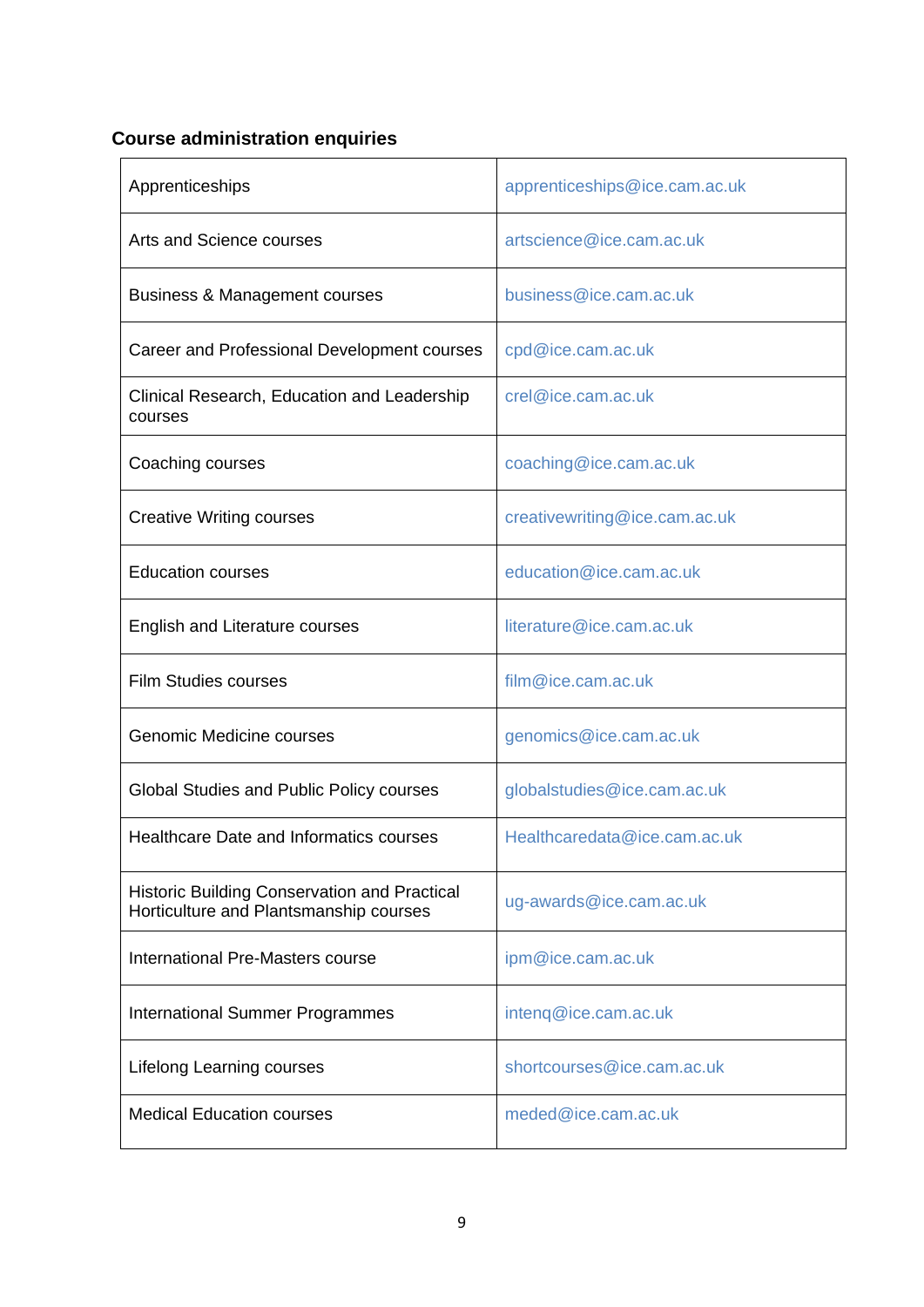# <span id="page-8-0"></span>**Course administration enquiries**

| Apprenticeships                                                                               | apprenticeships@ice.cam.ac.uk |
|-----------------------------------------------------------------------------------------------|-------------------------------|
| Arts and Science courses                                                                      | artscience@ice.cam.ac.uk      |
| <b>Business &amp; Management courses</b>                                                      | business@ice.cam.ac.uk        |
| Career and Professional Development courses                                                   | cpd@ice.cam.ac.uk             |
| Clinical Research, Education and Leadership<br>courses                                        | crel@ice.cam.ac.uk            |
| Coaching courses                                                                              | coaching@ice.cam.ac.uk        |
| <b>Creative Writing courses</b>                                                               | creativewriting@ice.cam.ac.uk |
| <b>Education courses</b>                                                                      | education@ice.cam.ac.uk       |
| <b>English and Literature courses</b>                                                         | literature@ice.cam.ac.uk      |
| <b>Film Studies courses</b>                                                                   | film@ice.cam.ac.uk            |
| <b>Genomic Medicine courses</b>                                                               | genomics@ice.cam.ac.uk        |
| Global Studies and Public Policy courses                                                      | globalstudies@ice.cam.ac.uk   |
| <b>Healthcare Date and Informatics courses</b>                                                | Healthcaredata@ice.cam.ac.uk  |
| <b>Historic Building Conservation and Practical</b><br>Horticulture and Plantsmanship courses | ug-awards@ice.cam.ac.uk       |
| International Pre-Masters course                                                              | ipm@ice.cam.ac.uk             |
| <b>International Summer Programmes</b>                                                        | inteng@ice.cam.ac.uk          |
| <b>Lifelong Learning courses</b>                                                              | shortcourses@ice.cam.ac.uk    |
| <b>Medical Education courses</b>                                                              | meded@ice.cam.ac.uk           |